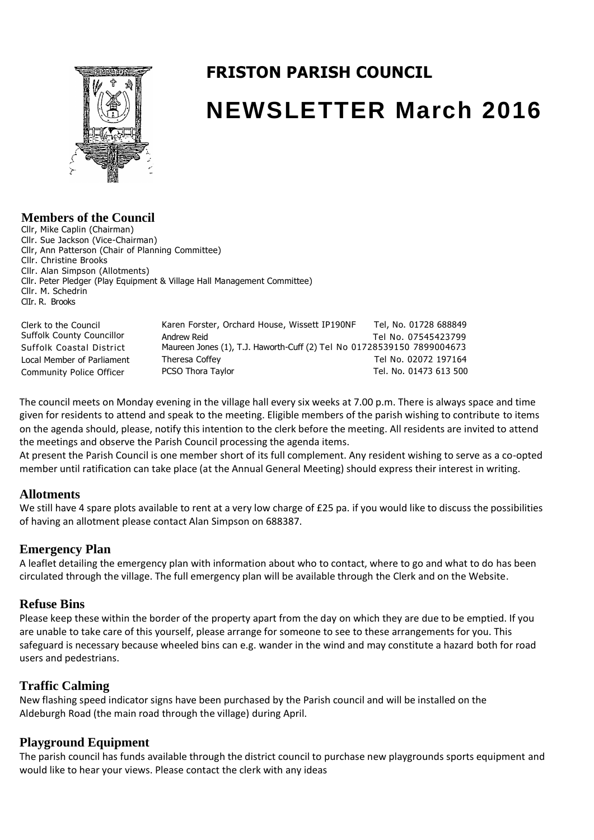

# **FRISTON PARISH COUNCIL NEWSLETTER March 2016**

## **Members of the Council**

Cllr, Mike Caplin (Chairman) Cllr. Sue Jackson (Vice-Chairman) Cllr, Ann Patterson (Chair of Planning Committee) Cllr. Christine Brooks Cllr. Alan Simpson (Allotments) Cllr. Peter Pledger (Play Equipment & Village Hall Management Committee) Cllr. M. Schedrin ClIr. R. Brooks

Clerk to the Council Suffolk County Councillor Suffolk Coastal District Local Member of Parliament Community Police Officer Karen Forster, Orchard House, Wissett IP190NF Tel, No. 01728 688849 Andrew Reid **Tel No. 07545423799** Maureen Jones (1), T.J. Haworth-Cuff (2) Tel No 01728539150 7899004673 Theresa Coffey Theresa Coffey PCSO Thora Taylor Tel. No. 01473 613 500

The council meets on Monday evening in the village hall every six weeks at 7.00 p.m. There is always space and time given for residents to attend and speak to the meeting. Eligible members of the parish wishing to contribute to items on the agenda should, please, notify this intention to the clerk before the meeting. All residents are invited to attend the meetings and observe the Parish Council processing the agenda items.

At present the Parish Council is one member short of its full complement. Any resident wishing to serve as a co-opted member until ratification can take place (at the Annual General Meeting) should express their interest in writing.

#### **Allotments**

We still have 4 spare plots available to rent at a very low charge of £25 pa. if you would like to discuss the possibilities of having an allotment please contact Alan Simpson on 688387.

#### **Emergency Plan**

A leaflet detailing the emergency plan with information about who to contact, where to go and what to do has been circulated through the village. The full emergency plan will be available through the Clerk and on the Website.

#### **Refuse Bins**

Please keep these within the border of the property apart from the day on which they are due to be emptied. If you are unable to take care of this yourself, please arrange for someone to see to these arrangements for you. This safeguard is necessary because wheeled bins can e.g. wander in the wind and may constitute a hazard both for road users and pedestrians.

#### **Traffic Calming**

New flashing speed indicator signs have been purchased by the Parish council and will be installed on the Aldeburgh Road (the main road through the village) during April.

# **Playground Equipment**

The parish council has funds available through the district council to purchase new playgrounds sports equipment and would like to hear your views. Please contact the clerk with any ideas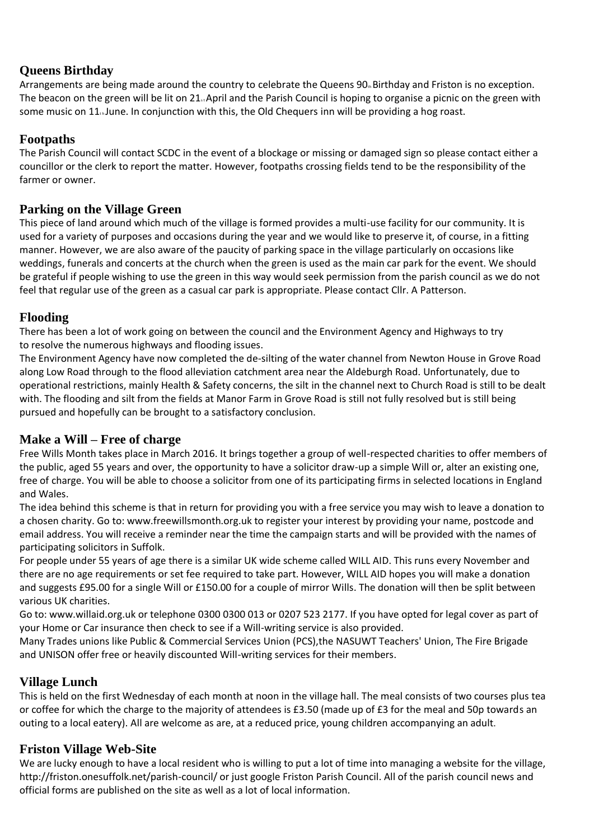# **Queens Birthday**

Arrangements are being made around the country to celebrate the Queens 90. Birthday and Friston is no exception. The beacon on the green will be lit on  $21_A$ April and the Parish Council is hoping to organise a picnic on the green with some music on  $11_{\cdot h}$  June. In conjunction with this, the Old Chequers inn will be providing a hog roast.

# **Footpaths**

The Parish Council will contact SCDC in the event of a blockage or missing or damaged sign so please contact either a councillor or the clerk to report the matter. However, footpaths crossing fields tend to be the responsibility of the farmer or owner.

# **Parking on the Village Green**

This piece of land around which much of the village is formed provides a multi-use facility for our community. It is used for a variety of purposes and occasions during the year and we would like to preserve it, of course, in a fitting manner. However, we are also aware of the paucity of parking space in the village particularly on occasions like weddings, funerals and concerts at the church when the green is used as the main car park for the event. We should be grateful if people wishing to use the green in this way would seek permission from the parish council as we do not feel that regular use of the green as a casual car park is appropriate. Please contact Cllr. A Patterson.

# **Flooding**

There has been a lot of work going on between the council and the Environment Agency and Highways to try to resolve the numerous highways and flooding issues.

The Environment Agency have now completed the de-silting of the water channel from Newton House in Grove Road along Low Road through to the flood alleviation catchment area near the Aldeburgh Road. Unfortunately, due to operational restrictions, mainly Health & Safety concerns, the silt in the channel next to Church Road is still to be dealt with. The flooding and silt from the fields at Manor Farm in Grove Road is still not fully resolved but is still being pursued and hopefully can be brought to a satisfactory conclusion.

# **Make a Will – Free of charge**

Free Wills Month takes place in March 2016. It brings together a group of well-respected charities to offer members of the public, aged 55 years and over, the opportunity to have a solicitor draw-up a simple Will or, alter an existing one, free of charge. You will be able to choose a solicitor from one of its participating firms in selected locations in England and Wales.

The idea behind this scheme is that in return for providing you with a free service you may wish to leave a donation to a chosen charity. Go to: www.freewillsmonth.org.uk to register your interest by providing your name, postcode and email address. You will receive a reminder near the time the campaign starts and will be provided with the names of participating solicitors in Suffolk.

For people under 55 years of age there is a similar UK wide scheme called WILL AID. This runs every November and there are no age requirements or set fee required to take part. However, WILL AID hopes you will make a donation and suggests £95.00 for a single Will or £150.00 for a couple of mirror Wills. The donation will then be split between various UK charities.

Go to: www.willaid.org.uk or telephone 0300 0300 013 or 0207 523 2177. If you have opted for legal cover as part of your Home or Car insurance then check to see if a Will-writing service is also provided.

Many Trades unions like Public & Commercial Services Union (PCS),the NASUWT Teachers' Union, The Fire Brigade and UNISON offer free or heavily discounted Will-writing services for their members.

# **Village Lunch**

This is held on the first Wednesday of each month at noon in the village hall. The meal consists of two courses plus tea or coffee for which the charge to the majority of attendees is £3.50 (made up of £3 for the meal and 50p towards an outing to a local eatery). All are welcome as are, at a reduced price, young children accompanying an adult.

# **Friston Village Web-Site**

We are lucky enough to have a local resident who is willing to put a lot of time into managing a website for the village, http://friston.onesuffolk.net/parish-council/ or just google Friston Parish Council. All of the parish council news and official forms are published on the site as well as a lot of local information.